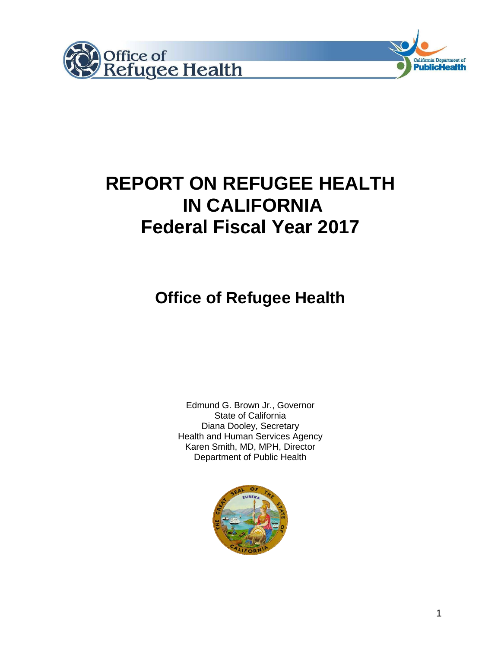



# **REPORT ON REFUGEE HEALTH IN CALIFORNIA Federal Fiscal Year 2017**

# **Office of Refugee Health**

Edmund G. Brown Jr., Governor State of California Diana Dooley, Secretary Health and Human Services Agency Karen Smith, MD, MPH, Director Department of Public Health

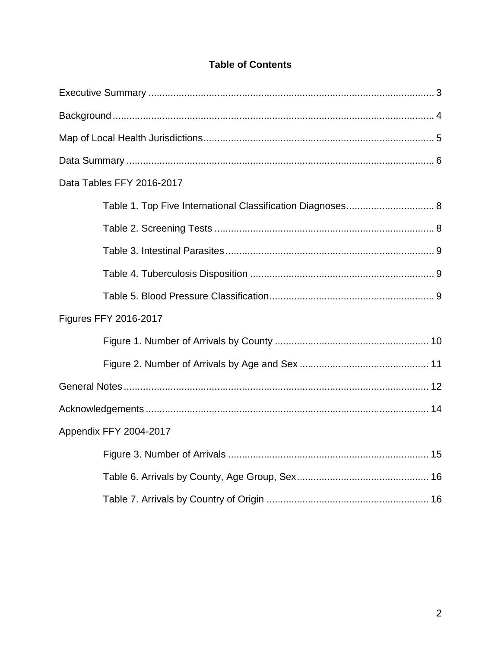| Data Tables FFY 2016-2017 |
|---------------------------|
|                           |
|                           |
|                           |
|                           |
|                           |
| Figures FFY 2016-2017     |
|                           |
|                           |
|                           |
|                           |
| Appendix FFY 2004-2017    |
|                           |
|                           |
|                           |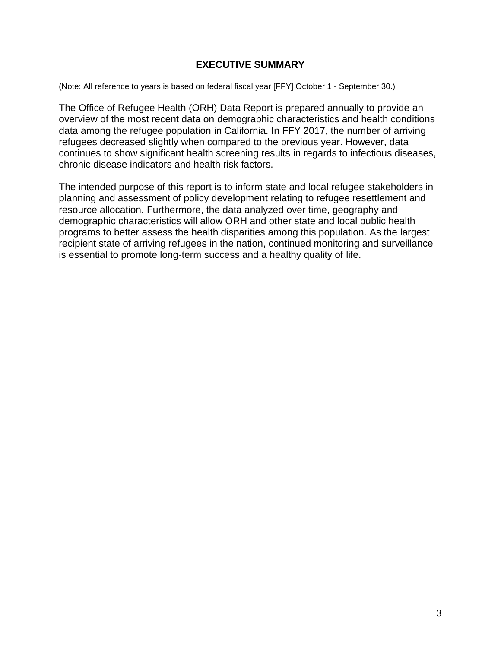# **EXECUTIVE SUMMARY**

(Note: All reference to years is based on federal fiscal year [FFY] October 1 - September 30.)

The Office of Refugee Health (ORH) Data Report is prepared annually to provide an overview of the most recent data on demographic characteristics and health conditions data among the refugee population in California. In FFY 2017, the number of arriving refugees decreased slightly when compared to the previous year. However, data continues to show significant health screening results in regards to infectious diseases, chronic disease indicators and health risk factors.

The intended purpose of this report is to inform state and local refugee stakeholders in planning and assessment of policy development relating to refugee resettlement and resource allocation. Furthermore, the data analyzed over time, geography and demographic characteristics will allow ORH and other state and local public health programs to better assess the health disparities among this population. As the largest recipient state of arriving refugees in the nation, continued monitoring and surveillance is essential to promote long-term success and a healthy quality of life.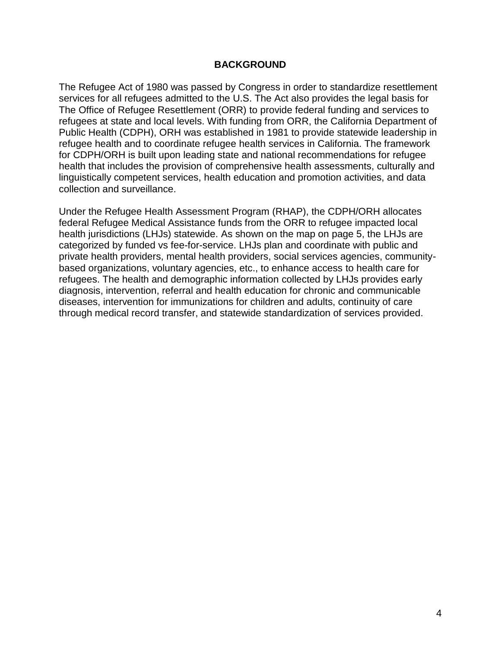### **BACKGROUND**

The Refugee Act of 1980 was passed by Congress in order to standardize resettlement services for all refugees admitted to the U.S. The Act also provides the legal basis for The Office of Refugee Resettlement (ORR) to provide federal funding and services to refugees at state and local levels. With funding from ORR, the California Department of Public Health (CDPH), ORH was established in 1981 to provide statewide leadership in refugee health and to coordinate refugee health services in California. The framework for CDPH/ORH is built upon leading state and national recommendations for refugee health that includes the provision of comprehensive health assessments, culturally and linguistically competent services, health education and promotion activities, and data collection and surveillance.

Under the Refugee Health Assessment Program (RHAP), the CDPH/ORH allocates federal Refugee Medical Assistance funds from the ORR to refugee impacted local health jurisdictions (LHJs) statewide. As shown on the map on page 5, the LHJs are categorized by funded vs fee-for-service. LHJs plan and coordinate with public and private health providers, mental health providers, social services agencies, communitybased organizations, voluntary agencies, etc., to enhance access to health care for refugees. The health and demographic information collected by LHJs provides early diagnosis, intervention, referral and health education for chronic and communicable diseases, intervention for immunizations for children and adults, continuity of care through medical record transfer, and statewide standardization of services provided.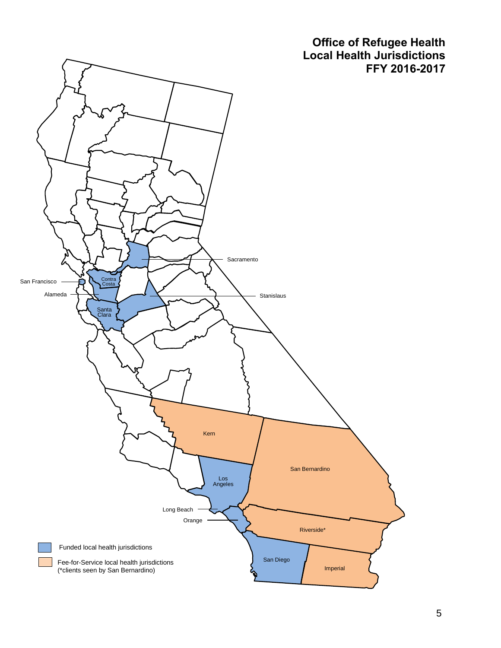**Office of Refugee Health Local Health Jurisdictions FFY 2016-2017**

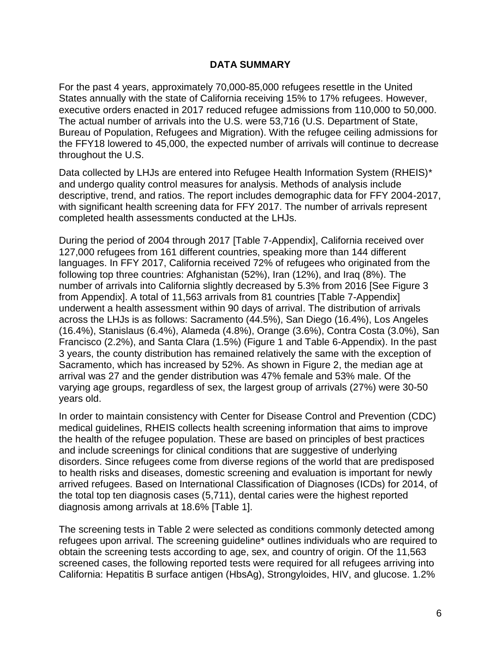# **DATA SUMMARY**

For the past 4 years, approximately 70,000-85,000 refugees resettle in the United States annually with the state of California receiving 15% to 17% refugees. However, executive orders enacted in 2017 reduced refugee admissions from 110,000 to 50,000. The actual number of arrivals into the U.S. were 53,716 (U.S. Department of State, Bureau of Population, Refugees and Migration). With the refugee ceiling admissions for the FFY18 lowered to 45,000, the expected number of arrivals will continue to decrease throughout the U.S.

Data collected by LHJs are entered into Refugee Health Information System (RHEIS)\* and undergo quality control measures for analysis. Methods of analysis include descriptive, trend, and ratios. The report includes demographic data for FFY 2004-2017, with significant health screening data for FFY 2017. The number of arrivals represent completed health assessments conducted at the LHJs.

During the period of 2004 through 2017 [Table 7-Appendix], California received over 127,000 refugees from 161 different countries, speaking more than 144 different languages. In FFY 2017, California received 72% of refugees who originated from the following top three countries: Afghanistan (52%), Iran (12%), and Iraq (8%). The number of arrivals into California slightly decreased by 5.3% from 2016 [See Figure 3 from Appendix]. A total of 11,563 arrivals from 81 countries [Table 7-Appendix] underwent a health assessment within 90 days of arrival. The distribution of arrivals across the LHJs is as follows: Sacramento (44.5%), San Diego (16.4%), Los Angeles (16.4%), Stanislaus (6.4%), Alameda (4.8%), Orange (3.6%), Contra Costa (3.0%), San Francisco (2.2%), and Santa Clara (1.5%) (Figure 1 and Table 6-Appendix). In the past 3 years, the county distribution has remained relatively the same with the exception of Sacramento, which has increased by 52%. As shown in Figure 2, the median age at arrival was 27 and the gender distribution was 47% female and 53% male. Of the varying age groups, regardless of sex, the largest group of arrivals (27%) were 30-50 years old.

In order to maintain consistency with Center for Disease Control and Prevention (CDC) medical guidelines, RHEIS collects health screening information that aims to improve the health of the refugee population. These are based on principles of best practices and include screenings for clinical conditions that are suggestive of underlying disorders. Since refugees come from diverse regions of the world that are predisposed to health risks and diseases, domestic screening and evaluation is important for newly arrived refugees. Based on International Classification of Diagnoses (ICDs) for 2014, of the total top ten diagnosis cases (5,711), dental caries were the highest reported diagnosis among arrivals at 18.6% [Table 1].

The screening tests in Table 2 were selected as conditions commonly detected among refugees upon arrival. The screening guideline\* outlines individuals who are required to obtain the screening tests according to age, sex, and country of origin. Of the 11,563 screened cases, the following reported tests were required for all refugees arriving into California: Hepatitis B surface antigen (HbsAg), Strongyloides, HIV, and glucose. 1.2%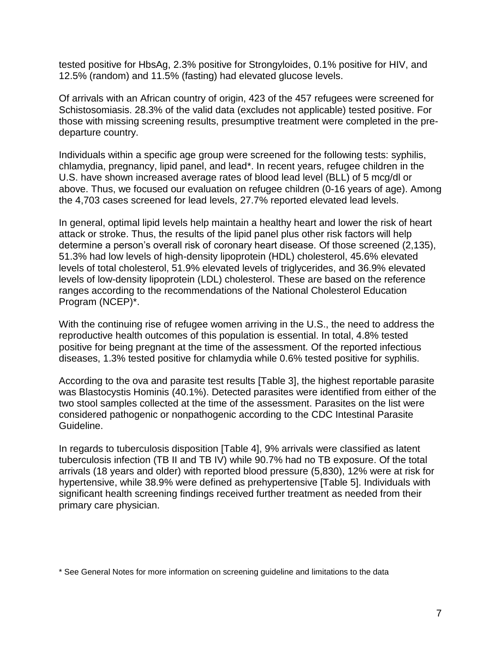tested positive for HbsAg, 2.3% positive for Strongyloides, 0.1% positive for HIV, and 12.5% (random) and 11.5% (fasting) had elevated glucose levels.

Of arrivals with an African country of origin, 423 of the 457 refugees were screened for Schistosomiasis. 28.3% of the valid data (excludes not applicable) tested positive. For those with missing screening results, presumptive treatment were completed in the predeparture country.

Individuals within a specific age group were screened for the following tests: syphilis, chlamydia, pregnancy, lipid panel, and lead\*. In recent years, refugee children in the U.S. have shown increased average rates of blood lead level (BLL) of 5 mcg/dl or above. Thus, we focused our evaluation on refugee children (0-16 years of age). Among the 4,703 cases screened for lead levels, 27.7% reported elevated lead levels.

In general, optimal lipid levels help maintain a healthy heart and lower the risk of heart attack or stroke. Thus, the results of the lipid panel plus other risk factors will help determine a person's overall risk of coronary heart disease. Of those screened (2,135), 51.3% had low levels of high-density lipoprotein (HDL) cholesterol, 45.6% elevated levels of total cholesterol, 51.9% elevated levels of triglycerides, and 36.9% elevated levels of low-density lipoprotein (LDL) cholesterol. These are based on the reference ranges according to the recommendations of the National Cholesterol Education Program (NCEP)\*.

With the continuing rise of refugee women arriving in the U.S., the need to address the reproductive health outcomes of this population is essential. In total, 4.8% tested positive for being pregnant at the time of the assessment. Of the reported infectious diseases, 1.3% tested positive for chlamydia while 0.6% tested positive for syphilis.

According to the ova and parasite test results [Table 3], the highest reportable parasite was Blastocystis Hominis (40.1%). Detected parasites were identified from either of the two stool samples collected at the time of the assessment. Parasites on the list were considered pathogenic or nonpathogenic according to the CDC Intestinal Parasite Guideline.

In regards to tuberculosis disposition [Table 4], 9% arrivals were classified as latent tuberculosis infection (TB II and TB IV) while 90.7% had no TB exposure. Of the total arrivals (18 years and older) with reported blood pressure (5,830), 12% were at risk for hypertensive, while 38.9% were defined as prehypertensive [Table 5]. Individuals with significant health screening findings received further treatment as needed from their primary care physician.

\* See General Notes for more information on screening guideline and limitations to the data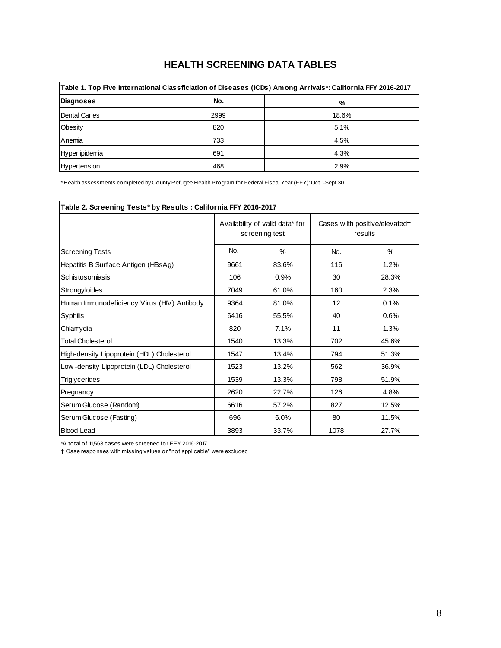# **HEALTH SCREENING DATA TABLES**

| Table 1. Top Five International Classficiation of Diseases (ICDs) Among Arrivals*: California FFY 2016-2017 |      |       |  |  |  |  |  |  |  |  |  |
|-------------------------------------------------------------------------------------------------------------|------|-------|--|--|--|--|--|--|--|--|--|
| Diagnoses                                                                                                   | No.  | %     |  |  |  |  |  |  |  |  |  |
| Dental Caries                                                                                               | 2999 | 18.6% |  |  |  |  |  |  |  |  |  |
| Obesity                                                                                                     | 820  | 5.1%  |  |  |  |  |  |  |  |  |  |
| Anemia                                                                                                      | 733  | 4.5%  |  |  |  |  |  |  |  |  |  |
| Hyperlipidemia                                                                                              | 691  | 4.3%  |  |  |  |  |  |  |  |  |  |
| Hypertension                                                                                                | 468  | 2.9%  |  |  |  |  |  |  |  |  |  |

\* Health assessments completed by County Refugee Health Program for Federal Fiscal Year (FFY): Oct 1-Sept 30

| Table 2. Screening Tests* by Results: California FFY 2016-2017 |      |                                                   |                                          |               |  |  |
|----------------------------------------------------------------|------|---------------------------------------------------|------------------------------------------|---------------|--|--|
|                                                                |      | Availability of valid data* for<br>screening test | Cases with positive/elevated†<br>results |               |  |  |
| <b>Screening Tests</b>                                         | No.  | $\%$                                              | No.                                      | $\frac{0}{0}$ |  |  |
| Hepatitis B Surface Antigen (HBsAg)                            | 9661 | 83.6%                                             | 116                                      | 1.2%          |  |  |
| Schistosomiasis                                                | 106  | 0.9%                                              | 30                                       | 28.3%         |  |  |
| Strongyloides                                                  | 7049 | 61.0%                                             | 160                                      | 2.3%          |  |  |
| Human Immunodeficiency Virus (HIV) Antibody                    | 9364 | 81.0%                                             | 12                                       | 0.1%          |  |  |
| Syphilis                                                       | 6416 | 55.5%                                             | 40                                       | 0.6%          |  |  |
| Chlamydia                                                      | 820  | 7.1%                                              | 11                                       | 1.3%          |  |  |
| <b>Total Cholesterol</b>                                       | 1540 | 13.3%                                             | 702                                      | 45.6%         |  |  |
| High-density Lipoprotein (HDL) Cholesterol                     | 1547 | 13.4%                                             | 794                                      | 51.3%         |  |  |
| Low-density Lipoprotein (LDL) Cholesterol                      | 1523 | 13.2%                                             | 562                                      | 36.9%         |  |  |
| <b>Triglycerides</b>                                           | 1539 | 13.3%                                             | 798                                      | 51.9%         |  |  |
| Pregnancy                                                      | 2620 | 22.7%                                             | 126                                      | 4.8%          |  |  |
| Serum Glucose (Random)                                         | 6616 | 57.2%                                             | 827                                      | 12.5%         |  |  |
| Serum Glucose (Fasting)                                        | 696  | 6.0%                                              | 80                                       | 11.5%         |  |  |
| <b>Blood Lead</b>                                              | 3893 | 33.7%                                             | 1078                                     | 27.7%         |  |  |

\*A total of 11,563 cases were screened for FFY 2016-2017

† Case responses with missing values or "not applicable" were excluded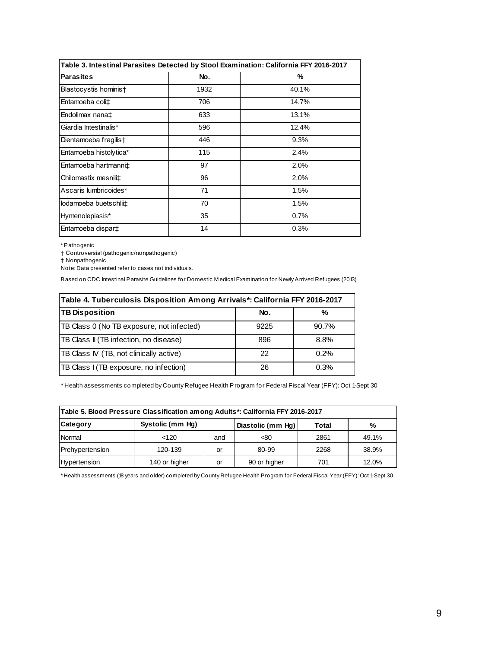| Table 3. Intestinal Parasites Detected by Stool Examination: California FFY 2016-2017 |      |       |
|---------------------------------------------------------------------------------------|------|-------|
| <b>Parasites</b>                                                                      | No.  | %     |
| Blastocystis hominis†                                                                 | 1932 | 40.1% |
| Entamoeba coli‡                                                                       | 706  | 14.7% |
| Endolimax nana‡                                                                       | 633  | 13.1% |
| Giardia Intestinalis*                                                                 | 596  | 12.4% |
| Dientamoeba fragilis†                                                                 | 446  | 9.3%  |
| Entamoeba histolytica*                                                                | 115  | 2.4%  |
| Entamoeba hartmanni‡                                                                  | 97   | 2.0%  |
| Chilomastix mesnili‡                                                                  | 96   | 2.0%  |
| Ascaris lumbricoides*                                                                 | 71   | 1.5%  |
| lodamoeba buetschlii‡                                                                 | 70   | 1.5%  |
| Hymenolepiasis*                                                                       | 35   | 0.7%  |
| Entamoeba dispar‡                                                                     | 14   | 0.3%  |

\* Pathogenic

† Controversial (pathogenic/nonpathogenic)

‡ Nonpathogenic

Note: Data presented refer to cases not individuals.

Based on CDC Intestinal Parasite Guidelines for Domestic M edical Examination for Newly Arrived Refugees (2013)

| Table 4. Tuberculosis Disposition Among Arrivals*: California FFY 2016-2017 |      |       |  |  |  |  |  |  |  |  |  |
|-----------------------------------------------------------------------------|------|-------|--|--|--|--|--|--|--|--|--|
| <b>TB Disposition</b>                                                       | No.  | %     |  |  |  |  |  |  |  |  |  |
| TB Class 0 (No TB exposure, not infected)                                   | 9225 | 90.7% |  |  |  |  |  |  |  |  |  |
| TB Class II (TB infection, no disease)                                      | 896  | 8.8%  |  |  |  |  |  |  |  |  |  |
| TB Class IV (TB, not clinically active)                                     | 22   | 0.2%  |  |  |  |  |  |  |  |  |  |
| TB Class I (TB exposure, no infection)                                      | 26   | 0.3%  |  |  |  |  |  |  |  |  |  |

\* Health assessments completed by County Refugee Health Program for Federal Fiscal Year (FFY): Oct 1-Sept 30

|                 | Table 5. Blood Pressure Classification among Adults*: California FFY 2016-2017 |     |                   |       |       |  |  |  |  |  |  |  |  |  |
|-----------------|--------------------------------------------------------------------------------|-----|-------------------|-------|-------|--|--|--|--|--|--|--|--|--|
| Category        | Systolic (mm Hg)                                                               |     | Diastolic (mm Hq) | Total | %     |  |  |  |  |  |  |  |  |  |
| Normal          | < 120                                                                          | and | < 80              | 2861  | 49.1% |  |  |  |  |  |  |  |  |  |
| Prehypertension | 120-139                                                                        | or  | 80-99             | 2268  | 38.9% |  |  |  |  |  |  |  |  |  |
| Hypertension    | 140 or higher                                                                  | or  | 90 or higher      | 701   | 12.0% |  |  |  |  |  |  |  |  |  |

\* Health assessments (18 years and older) completed by County Refugee Health Program for Federal Fiscal Year (FFY): Oct 1-Sept 30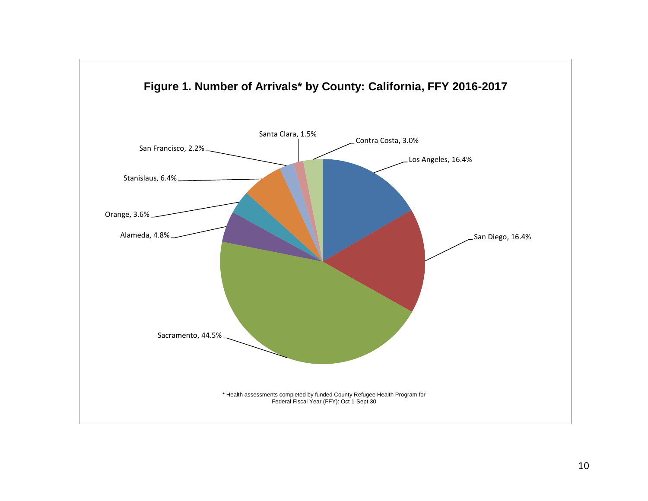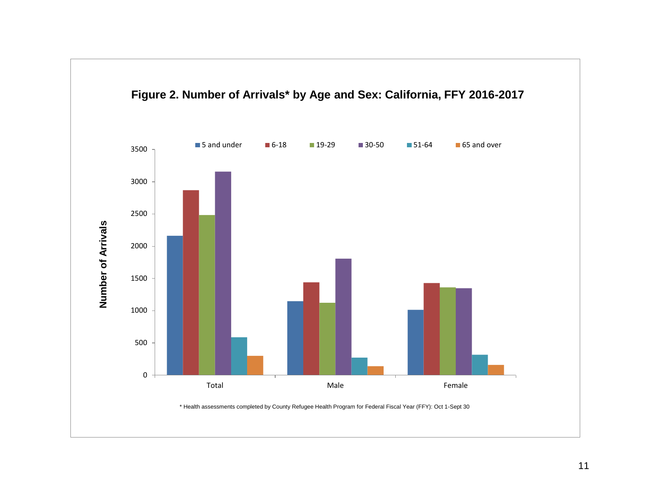

####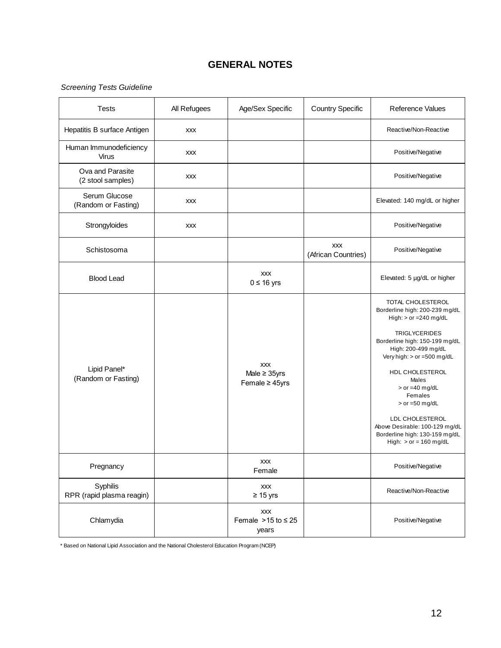# **GENERAL NOTES**

### *Screening Tests Guideline*

| <b>Tests</b>                           | All Refugees | Age/Sex Specific                                       | <b>Country Specific</b>           | Reference Values                                                                                                                                                                                                                                                                                                                                                                                |
|----------------------------------------|--------------|--------------------------------------------------------|-----------------------------------|-------------------------------------------------------------------------------------------------------------------------------------------------------------------------------------------------------------------------------------------------------------------------------------------------------------------------------------------------------------------------------------------------|
| Hepatitis B surface Antigen            | <b>XXX</b>   |                                                        |                                   | Reactive/Non-Reactive                                                                                                                                                                                                                                                                                                                                                                           |
| Human Immunodeficiency<br><b>Virus</b> | <b>XXX</b>   |                                                        |                                   | Positive/Negative                                                                                                                                                                                                                                                                                                                                                                               |
| Ova and Parasite<br>(2 stool samples)  | <b>XXX</b>   |                                                        |                                   | Positive/Negative                                                                                                                                                                                                                                                                                                                                                                               |
| Serum Glucose<br>(Random or Fasting)   | <b>XXX</b>   |                                                        |                                   | Elevated: 140 mg/dL or higher                                                                                                                                                                                                                                                                                                                                                                   |
| Strongyloides                          | <b>XXX</b>   |                                                        |                                   | Positive/Negative                                                                                                                                                                                                                                                                                                                                                                               |
| Schistosoma                            |              |                                                        | <b>XXX</b><br>(African Countries) | Positive/Negative                                                                                                                                                                                                                                                                                                                                                                               |
| <b>Blood Lead</b>                      |              | <b>XXX</b><br>$0 \leq 16$ yrs                          |                                   | Elevated: 5 µg/dL or higher                                                                                                                                                                                                                                                                                                                                                                     |
| Lipid Panel*<br>(Random or Fasting)    |              | <b>XXX</b><br>Male $\geq$ 35yrs<br>Female $\geq$ 45yrs |                                   | TOTAL CHOLESTEROL<br>Borderline high: 200-239 mg/dL<br>High: $>$ or =240 mg/dL<br><b>TRIGLYCERIDES</b><br>Borderline high: 150-199 mg/dL<br>High: 200-499 mg/dL<br>Very high: > or =500 mg/dL<br>HDL CHOLESTEROL<br>Males<br>$>$ or =40 mg/dL<br>Females<br>$>$ or =50 mg/dL<br>LDL CHOLESTEROL<br>Above Desirable: 100-129 mg/dL<br>Borderline high: 130-159 mg/dL<br>High: $>$ or = 160 mg/dL |
| Pregnancy                              |              | <b>XXX</b><br>Female                                   |                                   | Positive/Negative                                                                                                                                                                                                                                                                                                                                                                               |
| Syphilis<br>RPR (rapid plasma reagin)  |              | <b>XXX</b><br>$\geq 15$ yrs                            |                                   | Reactive/Non-Reactive                                                                                                                                                                                                                                                                                                                                                                           |
| Chlamydia                              |              | XXX<br>Female $>15$ to $\leq 25$<br>years              |                                   | Positive/Negative                                                                                                                                                                                                                                                                                                                                                                               |

\* Based on National Lipid Association and the National Cholesterol Education Program (NCEP)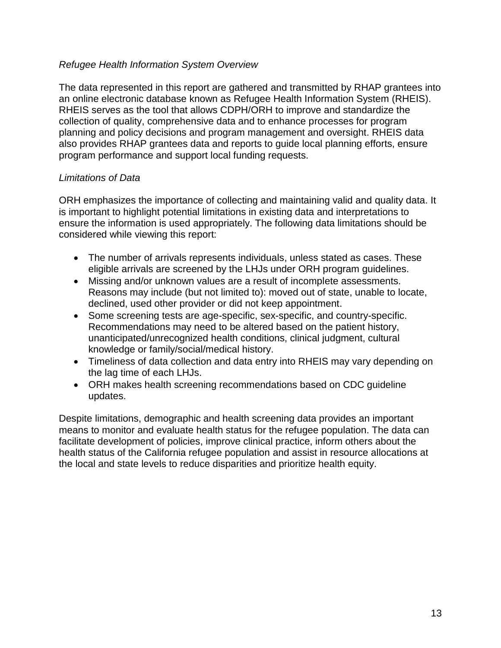# *Refugee Health Information System Overview*

The data represented in this report are gathered and transmitted by RHAP grantees into an online electronic database known as Refugee Health Information System (RHEIS). RHEIS serves as the tool that allows CDPH/ORH to improve and standardize the collection of quality, comprehensive data and to enhance processes for program planning and policy decisions and program management and oversight. RHEIS data also provides RHAP grantees data and reports to guide local planning efforts, ensure program performance and support local funding requests.

# *Limitations of Data*

ORH emphasizes the importance of collecting and maintaining valid and quality data. It is important to highlight potential limitations in existing data and interpretations to ensure the information is used appropriately. The following data limitations should be considered while viewing this report:

- The number of arrivals represents individuals, unless stated as cases. These eligible arrivals are screened by the LHJs under ORH program guidelines.
- Missing and/or unknown values are a result of incomplete assessments. Reasons may include (but not limited to): moved out of state, unable to locate, declined, used other provider or did not keep appointment.
- Some screening tests are age-specific, sex-specific, and country-specific. Recommendations may need to be altered based on the patient history, unanticipated/unrecognized health conditions, clinical judgment, cultural knowledge or family/social/medical history.
- Timeliness of data collection and data entry into RHEIS may vary depending on the lag time of each LHJs.
- ORH makes health screening recommendations based on CDC guideline updates.

Despite limitations, demographic and health screening data provides an important means to monitor and evaluate health status for the refugee population. The data can facilitate development of policies, improve clinical practice, inform others about the health status of the California refugee population and assist in resource allocations at the local and state levels to reduce disparities and prioritize health equity.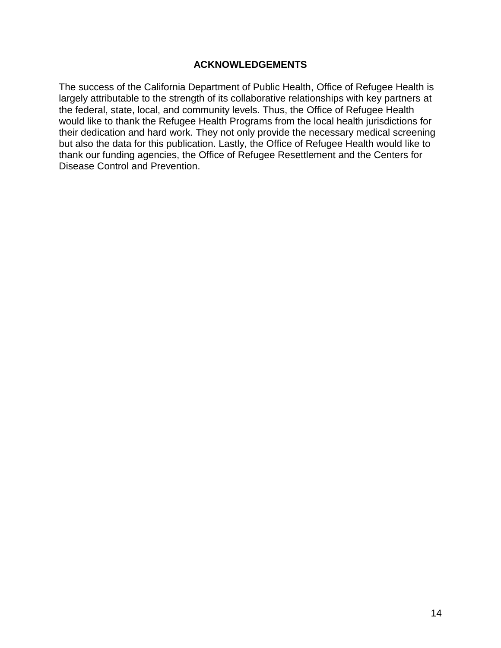## **ACKNOWLEDGEMENTS**

The success of the California Department of Public Health, Office of Refugee Health is largely attributable to the strength of its collaborative relationships with key partners at the federal, state, local, and community levels. Thus, the Office of Refugee Health would like to thank the Refugee Health Programs from the local health jurisdictions for their dedication and hard work. They not only provide the necessary medical screening but also the data for this publication. Lastly, the Office of Refugee Health would like to thank our funding agencies, the Office of Refugee Resettlement and the Centers for Disease Control and Prevention.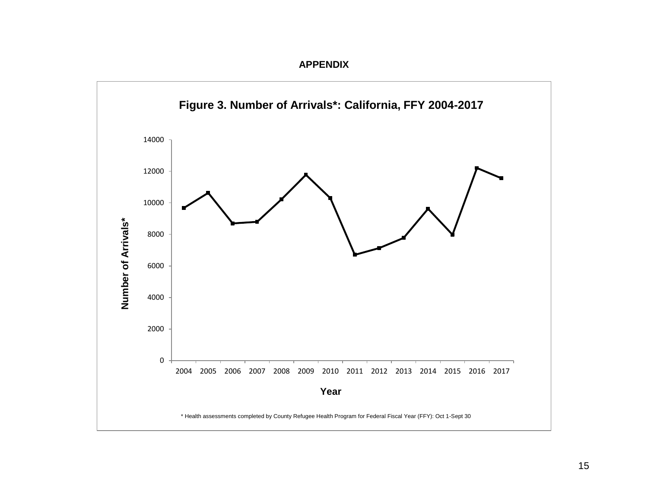

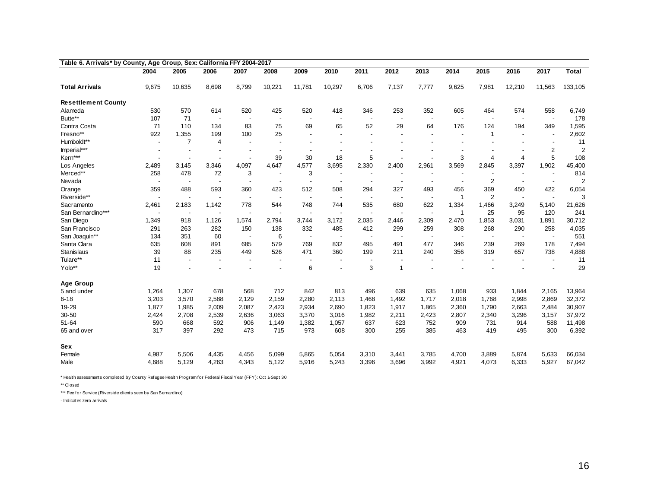| Table 6. Arrivals* by County, Age Group, Sex: California FFY 2004-2017 |                          |                          |                          |                          |                          |                          |                          |                          |                          |                          |                          |                          |                          |                          |                |
|------------------------------------------------------------------------|--------------------------|--------------------------|--------------------------|--------------------------|--------------------------|--------------------------|--------------------------|--------------------------|--------------------------|--------------------------|--------------------------|--------------------------|--------------------------|--------------------------|----------------|
|                                                                        | 2004                     | 2005                     | 2006                     | 2007                     | 2008                     | 2009                     | 2010                     | 2011                     | 2012                     | 2013                     | 2014                     | 2015                     | 2016                     | 2017                     | <b>Total</b>   |
| <b>Total Arrivals</b>                                                  | 9,675                    | 10,635                   | 8,698                    | 8,799                    | 10,221                   | 11,781                   | 10,297                   | 6,706                    | 7,137                    | 7,777                    | 9,625                    | 7,981                    | 12,210                   | 11,563                   | 133,105        |
| <b>Resettlement County</b>                                             |                          |                          |                          |                          |                          |                          |                          |                          |                          |                          |                          |                          |                          |                          |                |
| Alameda                                                                | 530                      | 570                      | 614                      | 520                      | 425                      | 520                      | 418                      | 346                      | 253                      | 352                      | 605                      | 464                      | 574                      | 558                      | 6,749          |
| Butte**                                                                | 107                      | 71                       | $\overline{\phantom{a}}$ |                          | $\overline{\phantom{a}}$ |                          |                          | $\overline{\phantom{a}}$ |                          |                          | $\overline{\phantom{a}}$ | $\overline{\phantom{a}}$ |                          | $\overline{\phantom{a}}$ | 178            |
| Contra Costa                                                           | 71                       | 110                      | 134                      | 83                       | 75                       | 69                       | 65                       | 52                       | 29                       | 64                       | 176                      | 124                      | 194                      | 349                      | 1,595          |
| Fresno**                                                               | 922                      | 1,355                    | 199                      | 100                      | 25                       | $\overline{\phantom{a}}$ | $\overline{\phantom{a}}$ |                          | $\blacksquare$           | $\overline{\phantom{a}}$ | $\overline{\phantom{a}}$ | $\mathbf 1$              | $\overline{\phantom{a}}$ |                          | 2,602          |
| Humboldt**                                                             | $\blacksquare$           | $\overline{7}$           | 4                        | $\overline{\phantom{a}}$ | $\overline{\phantom{a}}$ |                          |                          |                          |                          |                          |                          |                          |                          |                          | 11             |
| Imperial***                                                            |                          |                          |                          |                          | $\overline{\phantom{a}}$ | $\overline{\phantom{a}}$ | $\overline{\phantom{a}}$ |                          |                          |                          |                          |                          |                          | 2                        | $\overline{2}$ |
| Kern***                                                                |                          | $\overline{\phantom{a}}$ | $\overline{\phantom{a}}$ |                          | 39                       | 30                       | 18                       | 5                        |                          |                          | 3                        | 4                        | 4                        | 5                        | 108            |
| Los Angeles                                                            | 2,489                    | 3,145                    | 3,346                    | 4,097                    | 4,647                    | 4,577                    | 3,695                    | 2,330                    | 2,400                    | 2,961                    | 3,569                    | 2,845                    | 3,397                    | 1,902                    | 45,400         |
| Merced**                                                               | 258                      | 478                      | 72                       | 3                        | $\overline{\phantom{a}}$ | 3                        | $\overline{\phantom{a}}$ |                          | $\overline{\phantom{a}}$ |                          | $\overline{\phantom{a}}$ |                          |                          | $\overline{\phantom{a}}$ | 814            |
| Nevada                                                                 | $\overline{\phantom{a}}$ | $\overline{\phantom{a}}$ | $\overline{\phantom{a}}$ |                          | $\overline{\phantom{a}}$ | $\blacksquare$           | $\blacksquare$           |                          |                          | $\overline{\phantom{a}}$ | $\blacksquare$           | $\overline{2}$           |                          |                          | $\overline{2}$ |
| Orange                                                                 | 359                      | 488                      | 593                      | 360                      | 423                      | 512                      | 508                      | 294                      | 327                      | 493                      | 456                      | 369                      | 450                      | 422                      | 6,054          |
| Riverside**                                                            |                          |                          |                          | $\overline{\phantom{a}}$ | $\overline{\phantom{a}}$ | $\blacksquare$           | $\blacksquare$           |                          |                          |                          | $\overline{1}$           | $\overline{2}$           |                          |                          | 3              |
| Sacramento                                                             | 2,461                    | 2,183                    | 1,142                    | 778                      | 544                      | 748                      | 744                      | 535                      | 680                      | 622                      | 1,334                    | 1,466                    | 3,249                    | 5,140                    | 21,626         |
| San Bernardino***                                                      |                          | $\overline{\phantom{a}}$ |                          |                          |                          | $\blacksquare$           | $\blacksquare$           | $\overline{\phantom{a}}$ |                          | $\blacksquare$           | $\overline{1}$           | 25                       | 95                       | 120                      | 241            |
| San Diego                                                              | 1,349                    | 918                      | 1,126                    | 1,574                    | 2,794                    | 3,744                    | 3,172                    | 2,035                    | 2,446                    | 2,309                    | 2,470                    | 1,853                    | 3,031                    | 1,891                    | 30,712         |
| San Francisco                                                          | 291                      | 263                      | 282                      | 150                      | 138                      | 332                      | 485                      | 412                      | 299                      | 259                      | 308                      | 268                      | 290                      | 258                      | 4,035          |
| San Joaquin**                                                          | 134                      | 351                      | 60                       | $\overline{\phantom{a}}$ | 6                        | $\overline{\phantom{a}}$ | $\overline{\phantom{a}}$ | $\overline{\phantom{a}}$ | $\overline{\phantom{a}}$ | $\overline{\phantom{a}}$ | $\overline{\phantom{a}}$ | $\overline{\phantom{a}}$ | $\overline{\phantom{a}}$ | $\overline{\phantom{a}}$ | 551            |
| Santa Clara                                                            | 635                      | 608                      | 891                      | 685                      | 579                      | 769                      | 832                      | 495                      | 491                      | 477                      | 346                      | 239                      | 269                      | 178                      | 7,494          |
| <b>Stanislaus</b>                                                      | 39                       | 88                       | 235                      | 449                      | 526                      | 471                      | 360                      | 199                      | 211                      | 240                      | 356                      | 319                      | 657                      | 738                      | 4,888          |
| Tulare**                                                               | 11                       |                          | $\overline{\phantom{a}}$ |                          |                          | $\blacksquare$           |                          |                          |                          |                          | $\blacksquare$           |                          |                          |                          | 11             |
| Yolo**                                                                 | 19                       |                          |                          |                          |                          | 6                        |                          | 3                        | 1                        |                          |                          |                          |                          |                          | 29             |
| <b>Age Group</b>                                                       |                          |                          |                          |                          |                          |                          |                          |                          |                          |                          |                          |                          |                          |                          |                |
| 5 and under                                                            | 1,264                    | 1,307                    | 678                      | 568                      | 712                      | 842                      | 813                      | 496                      | 639                      | 635                      | 1,068                    | 933                      | 1,844                    | 2,165                    | 13,964         |
| $6 - 18$                                                               | 3,203                    | 3,570                    | 2,588                    | 2,129                    | 2,159                    | 2,280                    | 2,113                    | 1,468                    | 1,492                    | 1,717                    | 2,018                    | 1,768                    | 2,998                    | 2,869                    | 32,372         |
| 19-29                                                                  | 1,877                    | 1,985                    | 2,009                    | 2,087                    | 2,423                    | 2,934                    | 2,690                    | 1,823                    | 1,917                    | 1,865                    | 2,360                    | 1,790                    | 2,663                    | 2,484                    | 30,907         |
| $30 - 50$                                                              | 2.424                    | 2,708                    | 2,539                    | 2,636                    | 3,063                    | 3,370                    | 3.016                    | 1.982                    | 2,211                    | 2,423                    | 2,807                    | 2,340                    | 3,296                    | 3.157                    | 37,972         |
| $51 - 64$                                                              | 590                      | 668                      | 592                      | 906                      | 1.149                    | 1,382                    | 1,057                    | 637                      | 623                      | 752                      | 909                      | 731                      | 914                      | 588                      | 11,498         |
| 65 and over                                                            | 317                      | 397                      | 292                      | 473                      | 715                      | 973                      | 608                      | 300                      | 255                      | 385                      | 463                      | 419                      | 495                      | 300                      | 6,392          |
| <b>Sex</b>                                                             |                          |                          |                          |                          |                          |                          |                          |                          |                          |                          |                          |                          |                          |                          |                |
| Female                                                                 | 4,987                    | 5,506                    | 4,435                    | 4,456                    | 5,099                    | 5,865                    | 5,054                    | 3,310                    | 3,441                    | 3,785                    | 4,700                    | 3,889                    | 5,874                    | 5.633                    | 66,034         |
| Male                                                                   | 4,688                    | 5,129                    | 4,263                    | 4,343                    | 5,122                    | 5,916                    | 5,243                    | 3,396                    | 3,696                    | 3,992                    | 4,921                    | 4,073                    | 6,333                    | 5,927                    | 67,042         |

\* Health assessments completed by County Refugee Health Program for Federal Fiscal Year (FFY): Oct 1-Sept 30

\*\* Closed

\*\*\* Fee for Service (Riverside clients seen by San Bernardino)

- Indicates zero arrivals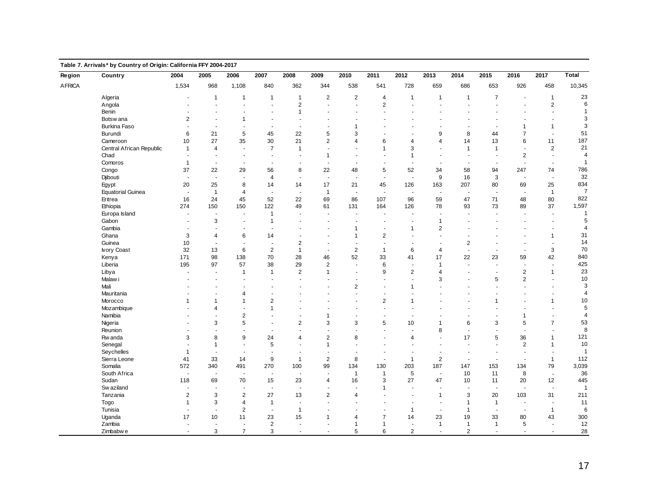| Region        | Country                  | 2004                  | 2005                      | 2006                     | 2007                     | 2008                     | 2009                     | 2010                     | 2011                     | 2012                     | 2013                     | 2014                     | 2015                     | 2016                     | 2017                  | Total          |
|---------------|--------------------------|-----------------------|---------------------------|--------------------------|--------------------------|--------------------------|--------------------------|--------------------------|--------------------------|--------------------------|--------------------------|--------------------------|--------------------------|--------------------------|-----------------------|----------------|
| <b>AFRICA</b> |                          | 1,534                 | 968                       | 1,108                    | 840                      | 362                      | 344                      | 538                      | 541                      | 728                      | 659                      | 686                      | 653                      | 926                      | 458                   | 10,345         |
|               | Algeria                  |                       | $\mathbf{1}$              | $\mathbf{1}$             | $\mathbf{1}$             | $\mathbf{1}$             | $\overline{2}$           | 2                        | $\overline{4}$           | $\mathbf{1}$             | $\overline{1}$           | $\mathbf{1}$             | $\overline{7}$           | $\overline{\phantom{a}}$ | $\mathbf{1}$          | 23             |
|               | Angola                   |                       |                           |                          | ÷,                       | $\overline{c}$           | ÷,                       | ÷,                       | $\boldsymbol{2}$         |                          |                          |                          |                          | ÷,                       | $\boldsymbol{2}$      | 6              |
|               | Benin                    |                       | $\overline{a}$            | L.                       | $\ddot{\phantom{a}}$     | $\mathbf{1}$             | $\overline{\phantom{a}}$ | $\overline{a}$           | $\overline{a}$           | ÷.                       |                          | ÷.                       | J.                       | $\overline{\phantom{a}}$ | $\overline{a}$        | $\overline{1}$ |
|               | Botsw ana                | 2                     | $\sim$                    | $\mathbf{1}$             | $\sim$                   | $\sim$                   | $\sim$                   | ÷.                       | $\blacksquare$           |                          |                          | $\ddot{\phantom{1}}$     | $\overline{a}$           | $\sim$                   | $\sim$                | 3              |
|               | Burkina Faso             |                       | $\blacksquare$            | $\blacksquare$           | $\blacksquare$           | $\sim$                   | $\blacksquare$           | 1                        | ÷.                       |                          |                          | $\blacksquare$           | $\sim$                   | 1                        | $\mathbf{1}$          | 3              |
|               | Burundi                  | 6                     | 21                        | 5                        | 45                       | 22                       | 5                        | 3                        |                          |                          | 9                        | 8                        | 44                       | $\overline{7}$           | $\sim$                | 51             |
|               | Cameroon                 | 10                    | 27                        | 35                       | 30                       | 21                       | 2                        | $\overline{4}$           | 6                        | $\overline{4}$           | 4                        | 14                       | 13                       | 6                        | 11                    | 187            |
|               | Central African Republic | $\overline{1}$        | $\overline{4}$            | $\overline{a}$           | $\overline{7}$           | $\mathbf{1}$             | $\sim$                   | ÷.                       | $\mathbf{1}$             | 3                        |                          | $\overline{1}$           | $\mathbf{1}$             | $\blacksquare$           | $\overline{2}$        | 21             |
|               | Chad                     |                       |                           |                          |                          |                          | $\mathbf{1}$             |                          |                          | $\mathbf{1}$             |                          |                          |                          | $\overline{2}$           | $\sim$                | $\overline{4}$ |
|               | Comoros                  | $\overline{1}$        | $\sim$                    | $\sim$                   | $\sim$                   | $\overline{\phantom{a}}$ | $\sim$                   | ÷.                       | ÷.                       | ÷.                       | $\overline{a}$           | $\overline{\phantom{a}}$ | $\sim$                   | $\sim$                   | $\sim$                | $\overline{1}$ |
|               | Congo                    | 37                    | 22                        | 29                       | 56                       | 8                        | 22                       | 48                       | 5                        | 52                       | 34                       | 58                       | 94                       | 247                      | 74                    | 786            |
|               | Djibouti                 | $\sim$                | $\mathbf{r}$              | ÷,                       | $\overline{4}$           | $\sim$                   | $\sim$                   | ÷,                       | $\overline{\phantom{a}}$ | $\sim$                   | 9                        | 16                       | $\sqrt{3}$               | $\blacksquare$           | $\tilde{\phantom{a}}$ | 32             |
|               | Egypt                    | 20                    | 25                        | 8                        | 14                       | 14                       | 17                       | 21                       | 45                       | 126                      | 163                      | 207                      | 80                       | 69                       | 25                    | 834            |
|               | <b>Equatorial Guinea</b> | $\sim$                | $\overline{1}$            | $\overline{4}$           | ٠.                       | $\blacksquare$           | $\overline{1}$           | $\blacksquare$           | $\sim$                   | $\blacksquare$           | $\overline{\phantom{a}}$ | $\overline{\phantom{a}}$ | $\overline{\phantom{a}}$ | $\blacksquare$           | $\overline{1}$        | $\overline{7}$ |
|               | Eritrea                  | 16                    | 24                        | 45                       | 52                       | 22                       | 69                       | 86                       | 107                      | 96                       | 59                       | 47                       | 71                       | 48                       | 80                    | 822            |
|               | Ethiopia                 | 274                   | 150                       | 150                      | 122                      | 49                       | 61                       | 131                      | 164                      | 126                      | 78                       | 93                       | 73                       | 89                       | 37                    | 1,597          |
|               | Europa Island            | ÷.                    | $\sim$                    | $\sim$                   | $\mathbf{1}$             | $\sim$                   | $\sim$                   | $\overline{\phantom{a}}$ | ä,                       | ÷.                       | ÷.                       | $\overline{\phantom{a}}$ | ÷,                       | $\sim$                   | $\sim$                | $\overline{1}$ |
|               | Gabon                    |                       | 3                         | $\sim$                   | $\mathbf{1}$             | $\overline{\phantom{a}}$ | $\overline{a}$           | $\blacksquare$           | $\ddot{\phantom{1}}$     | $\overline{a}$           | $\overline{1}$           | $\blacksquare$           | $\overline{a}$           | $\blacksquare$           | $\sim$                | $\overline{5}$ |
|               | Gambia                   |                       | ä,                        | $\blacksquare$           | ÷.                       | $\sim$                   | $\sim$                   | $\mathbf{1}$             | ä,                       | 1                        | $\sqrt{2}$               | $\sim$                   |                          | $\sim$                   | $\sim$                | $\overline{4}$ |
|               | Ghana                    | 3                     | $\overline{4}$            | 6                        | 14                       | $\overline{\phantom{a}}$ | $\sim$                   | $\overline{1}$           | $\overline{2}$           | $\sim$                   |                          | $\blacksquare$           |                          | ä,                       | $\mathbf{1}$          | 31             |
|               | Guinea                   | 10                    | $\overline{\phantom{a}}$  | $\overline{\phantom{a}}$ | $\overline{\phantom{a}}$ | $\overline{2}$           | $\sim$                   | ÷,                       | $\overline{\phantom{a}}$ | $\blacksquare$           |                          | 2                        |                          | $\sim$                   | $\sim$                | 14             |
|               | <b>Ivory Coast</b>       | 32                    | 13                        | 6                        | $\overline{2}$           | $\mathbf{1}$             | ÷,                       | $\sqrt{2}$               | $\mathbf{1}$             | 6                        | 4                        | ÷,                       | $\overline{\phantom{a}}$ | ÷,                       | 3                     | 70             |
|               | Kenya                    | 171                   | 98                        | 138                      | 70                       | 28                       | 46                       | 52                       | 33                       | 41                       | 17                       | 22                       | 23                       | 59                       | 42                    | 840            |
|               | Liberia                  | 195                   | 97                        | 57                       | 38                       | 29                       | $\overline{2}$           | $\overline{a}$           | 6                        | $\sim$                   | $\overline{1}$           | $\sim$                   | $\overline{a}$           | $\overline{\phantom{a}}$ | $\overline{a}$        | 425            |
|               | Libya                    | ÷.                    | $\overline{\phantom{a}}$  | 1                        | $\mathbf{1}$             | $\overline{c}$           | $\mathbf{1}$             | ÷.                       | 9                        | $\overline{\mathbf{c}}$  | $\overline{4}$           | $\ddot{\phantom{1}}$     | ÷,                       | $\boldsymbol{2}$         | $\mathbf{1}$          | 23             |
|               | Malaw i                  |                       | $\blacksquare$            | $\sim$                   | ÷.                       | $\sim$                   | $\sim$                   | L.                       | ä,                       | ä,                       | 3                        | ÷,                       | 5                        | $\overline{2}$           | $\sim$                | 10             |
|               | Mali                     |                       | ÷.                        | ÷.                       | ÷.                       | $\sim$                   | $\overline{a}$           | $\overline{2}$           | ÷.                       | 1                        |                          | $\overline{\phantom{a}}$ | ÷.                       | $\overline{a}$           | $\sim$                | 3              |
|               | Mauritania               |                       |                           | $\overline{4}$           | ÷.                       |                          | $\sim$                   | ä,                       | ä,                       |                          |                          |                          |                          |                          | ÷.                    | $\overline{4}$ |
|               | Morocco                  | $\overline{1}$        | $\overline{1}$            | $\mathbf{1}$             | $\overline{c}$           |                          |                          |                          | $\overline{2}$           | 1                        |                          |                          | $\overline{1}$           |                          | $\mathbf{1}$          | $10\,$         |
|               | Mozambique               |                       | $\overline{4}$            | ÷.                       | $\mathbf{1}$             |                          |                          | $\ddot{\phantom{1}}$     | ÷.                       | $\overline{\phantom{a}}$ |                          |                          | J.                       | $\ddot{\phantom{1}}$     | ÷.                    | $\sqrt{5}$     |
|               | Namibia                  |                       | ä,                        | $\overline{2}$           | $\sim$                   | $\sim$                   | 1                        | ÷.                       | ä,                       | ÷.                       |                          | ÷                        | $\sim$                   | $\mathbf{1}$             | $\sim$                | $\overline{4}$ |
|               | Nigeria                  |                       | $\mathsf 3$               | 5                        | $\overline{\phantom{a}}$ | $\overline{c}$           | 3                        | 3                        | 5                        | 10                       | $\mathbf{1}$             | 6                        | $\sqrt{3}$               | 5                        | $\overline{7}$        | 53             |
|               | Reunion                  |                       | ÷,                        | ÷,                       | ÷,                       | $\sim$                   | ÷,                       | ÷,                       | ٠                        |                          | 8                        | ÷,                       | ÷,                       | $\blacksquare$           | $\sim$                | 8              |
|               | Rw anda                  | 3                     | 8                         | 9                        | 24                       | $\overline{4}$           | $\overline{2}$           | 8                        | ÷.                       | 4                        |                          | 17                       | $\overline{5}$           | 36                       | $\mathbf{1}$          | 121            |
|               | Senegal                  |                       | $\mathbf{1}$              | $\overline{a}$           | 5                        | ÷.                       | $\mathbf{1}$             |                          | ä,                       |                          |                          | ÷,                       | ÷.                       | $\overline{2}$           | $\mathbf{1}$          | 10             |
|               | Seychelles               | $\overline{1}$        | ÷,                        | ٠.                       | $\overline{\phantom{a}}$ |                          | $\sim$                   |                          |                          |                          |                          |                          |                          | $\overline{\phantom{a}}$ |                       | $\overline{1}$ |
|               | Sierra Leone             | 41                    | 33                        | 14                       | 9                        | $\mathbf{1}$             | $\overline{2}$           | 8                        | $\sim$                   | $\overline{1}$           | 2                        | $\sim$                   | $\sim$                   | $\overline{\phantom{a}}$ | $\mathbf{1}$          | 112            |
|               | Somalia                  | 572                   | 340                       | 491                      | 270                      | 100                      | 99                       | 134                      | 130                      | 203                      | 187                      | 147                      | 153                      | 134                      | 79                    | 3,039          |
|               | South Africa             | $\tilde{\phantom{a}}$ | ÷,                        | ÷,                       | ÷,                       | $\overline{\phantom{a}}$ | $\overline{\phantom{a}}$ | $\mathbf{1}$             | $\mathbf{1}$             | 5                        | $\sim$                   | 10                       | 11                       | 8                        | $\sim$                | $36\,$         |
|               | Sudan                    | 118                   | 69                        | 70                       | 15                       | 23                       | 4                        | 16                       | 3                        | 27                       | 47                       | 10                       | 11                       | 20                       | 12                    | 445            |
|               | Sw aziland               |                       | ä,                        |                          | $\ddot{\phantom{a}}$     | $\overline{\phantom{a}}$ | $\blacksquare$           |                          | $\overline{1}$           |                          |                          | J.                       | $\overline{\phantom{a}}$ | $\overline{\phantom{a}}$ | $\sim$                | $\overline{1}$ |
|               | Tanzania                 | $\sqrt{2}$            | $\ensuremath{\mathsf{3}}$ | $\overline{2}$           | 27                       | 13                       | $\overline{\mathbf{c}}$  | $\overline{4}$           |                          |                          | $\mathbf{1}$             | 3                        | 20                       | 103                      | 31                    | 211            |
|               | Togo                     | $\overline{1}$        | 3                         | $\overline{4}$           | $\mathbf{1}$             | $\sim$                   | $\sim$                   | $\overline{a}$           | $\overline{a}$           | ÷.                       | $\sim$                   | $\overline{1}$           | $\mathbf{1}$             | $\sim$                   | $\sim$                | 11             |
|               | Tunisia                  | $\sim$                | $\overline{\phantom{a}}$  | $\overline{2}$           | $\sim$                   | $\mathbf{1}$             | ÷.                       | ÷.                       | ÷.                       | $\mathbf{1}$             | $\sim$                   | $\overline{1}$           | $\overline{\phantom{a}}$ | $\blacksquare$           | $\overline{1}$        | 6              |
|               | Uganda                   | 17                    | 10                        | 11                       | 23                       | 15                       | $\mathbf{1}$             | $\overline{4}$           | $\overline{7}$           | 14                       | 23                       | 19                       | 33                       | 80                       | 43                    | 300            |
|               | Zambia                   | $\sim$                | $\blacksquare$            | $\blacksquare$           | $\overline{2}$           | $\sim$                   | $\mathbf{r}$             | $\mathbf{1}$             | $\mathbf{1}$             | $\blacksquare$           | $\overline{1}$           | $\mathbf{1}$             | $\overline{1}$           | 5                        | $\blacksquare$        | 12             |
|               | Zimbabwe                 | $\sim$                | 3                         | $\overline{7}$           | 3                        | $\omega$                 | $\blacksquare$           | 5                        | 6                        | 2                        | $\sim$                   | $\overline{2}$           | ÷,                       | $\overline{\phantom{a}}$ | $\omega$              | 28             |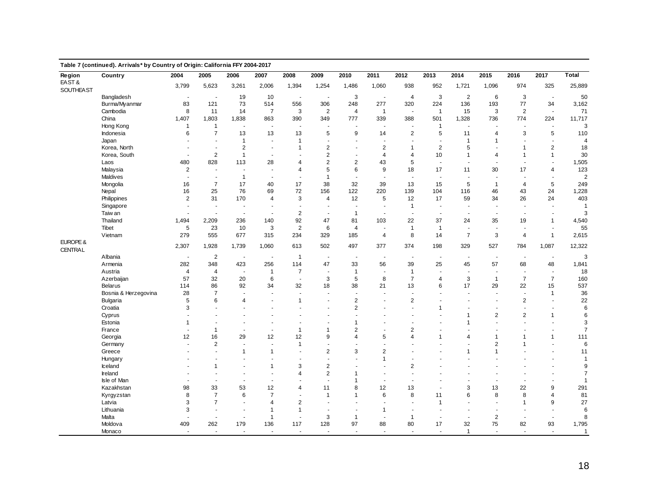|                  | Table 7 (continued). Arrivals* by Country of Origin: California FFY 2004-2017 |                |                          |                          |                          |                      |                          |                          |                          |                          |                          |                          |                          |                          |                |                |
|------------------|-------------------------------------------------------------------------------|----------------|--------------------------|--------------------------|--------------------------|----------------------|--------------------------|--------------------------|--------------------------|--------------------------|--------------------------|--------------------------|--------------------------|--------------------------|----------------|----------------|
| Region<br>EAST&  | Country                                                                       | 2004           | 2005                     | 2006                     | 2007                     | 2008                 | 2009                     | 2010                     | 2011                     | 2012                     | 2013                     | 2014                     | 2015                     | 2016                     | 2017           | Total          |
| <b>SOUTHEAST</b> |                                                                               | 3,799          | 5,623                    | 3,261                    | 2,006                    | 1,394                | 1,254                    | 1,486                    | 1,060                    | 938                      | 952                      | 1,721                    | 1,096                    | 974                      | 325            | 25,889         |
|                  | Bangladesh                                                                    | $\sim$         | $\blacksquare$           | 19                       | 10                       | $\blacksquare$       | $\sim$                   | 3                        | $\sim$                   | $\overline{4}$           | 3                        | 2                        | 6                        | 3                        | $\sim$         | 50             |
|                  | Burma/Myanmar                                                                 | 83             | 121                      | 73                       | 514                      | 556                  | 306                      | 248                      | 277                      | 320                      | 224                      | 136                      | 193                      | 77                       | 34             | 3,162          |
|                  | Cambodia                                                                      | 8              | 11                       | 14                       | $\overline{7}$           | 3                    | 2                        | $\overline{4}$           | $\overline{1}$           | $\sim$                   | $\overline{1}$           | 15                       | 3                        | $\overline{2}$           | $\sim$         | 71             |
|                  | China                                                                         | 1,407          | 1,803                    | 1,838                    | 863                      | 390                  | 349                      | 777                      | 339                      | 388                      | 501                      | 1,328                    | 736                      | 774                      | 224            | 11,717         |
|                  | Hong Kong                                                                     | $\mathbf{1}$   | $\mathbf{1}$             | $\sim$                   | $\blacksquare$           | $\sim$               | ÷,                       | $\sim$                   | ÷.                       | $\sim$                   | $\overline{1}$           | ÷,                       | ÷,                       | $\overline{\phantom{a}}$ | $\sim$         | 3              |
|                  | Indonesia                                                                     | 6              | $\overline{7}$           | 13                       | 13                       | 13                   | 5                        | 9                        | 14                       | $\overline{\mathbf{c}}$  | 5                        | 11                       | $\overline{4}$           | 3                        | 5              | 110            |
|                  | Japan                                                                         |                | $\sim$                   | $\mathbf{1}$             | $\overline{a}$           | $\overline{1}$       | $\sim$                   | $\ddot{\phantom{1}}$     | $\overline{a}$           |                          | $\overline{a}$           | $\overline{1}$           | $\mathbf{1}$             | $\overline{\phantom{a}}$ | $\sim$         | $\overline{4}$ |
|                  | Korea, North                                                                  |                | $\sim$                   | $\overline{\mathbf{c}}$  | $\blacksquare$           | 1                    | $\overline{2}$           |                          | $\sqrt{2}$               | $\mathbf{1}$             | $\overline{2}$           | 5                        |                          | 1                        | $\sqrt{2}$     | 18             |
|                  | Korea, South                                                                  |                | $\sqrt{2}$               | $\mathbf{1}$             | $\overline{\phantom{a}}$ |                      | $\overline{2}$           |                          | $\overline{4}$           | 4                        | 10                       | $\mathbf{1}$             | $\overline{4}$           | $\mathbf{1}$             | $\mathbf{1}$   | 30             |
|                  | Laos                                                                          | 480            | 828                      | 113                      | 28                       | $\overline{4}$       | 2                        | $\overline{2}$           | 43                       | 5                        | ÷,                       | J.                       | ÷,                       | $\overline{\phantom{a}}$ |                | 1,505          |
|                  | Malaysia                                                                      | $\overline{2}$ | $\sim$                   | $\sim$                   | $\overline{a}$           | $\overline{4}$       | 5                        | 6                        | 9                        | 18                       | 17                       | 11                       | 30                       | 17                       | $\overline{4}$ | 123            |
|                  | Maldives                                                                      | $\sim$         | $\sim$                   | $\mathbf{1}$             | $\sim$                   | $\blacksquare$       | $\mathbf{1}$             | $\overline{\phantom{a}}$ | $\sim$                   | $\sim$                   | $\sim$                   | ÷,                       | $\sim$                   | $\blacksquare$           |                | $\overline{2}$ |
|                  | Mongolia                                                                      | 16             | $\overline{7}$           | 17                       | 40                       | 17                   | 38                       | 32                       | 39                       | 13                       | 15                       | 5                        | $\overline{1}$           | $\overline{4}$           | 5              | 249            |
|                  | Nepal                                                                         | 16             | 25                       | 76                       | 69                       | 72                   | 156                      | 122                      | 220                      | 139                      | 104                      | 116                      | 46                       | 43                       | 24             | 1,228          |
|                  | Philippines                                                                   | 2              | 31                       | 170                      | 4                        | 3                    | $\overline{4}$           | 12                       | 5                        | 12                       | 17                       | 59                       | 34                       | 26                       | 24             | 403            |
|                  | Singapore                                                                     | $\sim$         | $\sim$                   | $\overline{\phantom{a}}$ |                          | ÷,                   | $\blacksquare$           | $\blacksquare$           | $\sim$                   | $\mathbf{1}$             | $\sim$                   | $\blacksquare$           | $\sim$                   | ÷,                       |                | $\overline{1}$ |
|                  | Taiw an                                                                       | $\sim$         | $\sim$                   | $\sim$                   | $\overline{\phantom{a}}$ | $\overline{2}$       | $\sim$                   | $\mathbf{1}$             | $\overline{a}$           | $\overline{a}$           | $\overline{\phantom{a}}$ | $\ddot{\phantom{1}}$     | $\sim$                   | $\overline{\phantom{a}}$ |                | 3              |
|                  | Thailand                                                                      | 1,494          | 2,209                    | 236                      | 140                      | 92                   | 47                       | 81                       | 103                      | 22                       | 37                       | 24                       | 35                       | 19                       | $\mathbf{1}$   | 4,540          |
|                  | Tibet                                                                         | 5              | 23                       | 10                       | 3                        | $\overline{2}$       | 6                        | 4                        |                          | $\overline{1}$           | $\mathbf{1}$             | ÷,                       | ÷,                       | $\overline{\phantom{a}}$ |                | 55             |
|                  | Vietnam                                                                       | 279            | 555                      | 677                      | 315                      | 234                  | 329                      | 185                      | $\overline{4}$           | 8                        | 14                       | $\overline{7}$           | 3                        | $\overline{4}$           | $\mathbf{1}$   | 2,615          |
| EUROPE &         |                                                                               |                |                          |                          |                          |                      |                          |                          |                          |                          |                          |                          |                          |                          |                |                |
| <b>CENTRAL</b>   |                                                                               | 2,307          | 1,928                    | 1,739                    | 1,060                    | 613                  | 502                      | 497                      | 377                      | 374                      | 198                      | 329                      | 527                      | 784                      | 1,087          | 12,322         |
|                  | Albania                                                                       | $\sim$         | $\overline{2}$           | $\sim$                   | $\sim$                   | $\overline{1}$       | $\overline{\phantom{a}}$ | $\blacksquare$           | $\overline{\phantom{a}}$ | $\overline{\phantom{a}}$ | $\overline{\phantom{a}}$ | $\overline{\phantom{a}}$ | $\sim$                   | $\overline{\phantom{a}}$ | $\sim$         | 3              |
|                  | Armenia                                                                       | 282            | 348                      | 423                      | 256                      | 114                  | 47                       | 33                       | 56                       | 39                       | 25                       | 45                       | 57                       | 68                       | 48             | 1,841          |
|                  | Austria                                                                       | $\overline{4}$ | 4                        | $\sim$                   | $\overline{1}$           | $\overline{7}$       | $\blacksquare$           | $\mathbf{1}$             |                          | $\mathbf{1}$             | $\sim$                   | ÷,                       | $\sim$                   | $\blacksquare$           |                | 18             |
|                  | Azerbaijan                                                                    | 57             | 32                       | 20                       | 6                        | $\blacksquare$       | 3                        | 5                        | 8                        | $\overline{7}$           | $\overline{4}$           | 3                        | $\mathbf{1}$             | $\overline{7}$           | $\overline{7}$ | 160            |
|                  | <b>Belarus</b>                                                                | 114            | 86                       | 92                       | 34                       | 32                   | 18                       | 38                       | 21                       | 13                       | 6                        | 17                       | 29                       | 22                       | 15             | 537            |
|                  |                                                                               | 28             | $\overline{7}$           |                          | $\blacksquare$           | ÷,                   | ä,                       | $\blacksquare$           |                          |                          |                          | $\blacksquare$           |                          | $\blacksquare$           |                |                |
|                  | Bosnia & Herzegovina                                                          | 5              | 6                        | 4                        |                          | $\mathbf{1}$         |                          | $\overline{2}$           |                          | $\overline{2}$           |                          |                          |                          | $\overline{2}$           | $\mathbf{1}$   | $36\,$<br>22   |
|                  | Bulgaria                                                                      | 3              | $\overline{a}$           |                          |                          | ÷.                   |                          | $\overline{2}$           |                          | $\sim$                   | $\overline{1}$           |                          | ä,                       | $\overline{\phantom{a}}$ |                | 6              |
|                  | Croatia                                                                       |                | $\sim$                   |                          |                          |                      |                          | L.                       |                          |                          |                          |                          |                          |                          |                |                |
|                  | Cyprus                                                                        |                |                          |                          | $\overline{a}$           | $\ddot{\phantom{1}}$ | $\ddot{\phantom{1}}$     |                          |                          |                          |                          | $\mathbf{1}$             | $\overline{2}$           | $\overline{2}$           | $\mathbf{1}$   | 6              |
|                  | Estonia                                                                       | $\mathbf{1}$   | $\overline{\phantom{a}}$ |                          | $\overline{\phantom{a}}$ |                      |                          | 1                        |                          |                          |                          | $\mathbf{1}$             | ÷.                       | $\overline{\phantom{a}}$ |                | 3              |
|                  | France                                                                        |                | $\mathbf{1}$             | $\sim$                   | $\sim$                   | $\overline{1}$       | $\mathbf{1}$             | $\overline{2}$           |                          | $\overline{2}$           | ٠                        | $\blacksquare$           |                          | $\ddot{\phantom{1}}$     | $\overline{a}$ | $\overline{7}$ |
|                  | Georgia                                                                       | 12             | 16                       | 29                       | 12                       | 12                   | 9                        | $\overline{4}$           | 5                        | $\overline{4}$           | 1                        | $\overline{4}$           | $\mathbf{1}$             | $\mathbf{1}$             | $\mathbf{1}$   | 111            |
|                  | Germany                                                                       |                | $\overline{2}$           |                          | $\overline{\phantom{a}}$ | $\mathbf{1}$         | ä,                       | ä,                       |                          |                          | $\sim$                   | $\blacksquare$           | $\overline{2}$           | $\mathbf{1}$             |                | 6              |
|                  | Greece                                                                        |                | $\sim$                   | $\mathbf{1}$             | $\mathbf{1}$             | ä,                   | $\overline{2}$           | 3                        | $\overline{2}$           |                          |                          | $\overline{1}$           | $\mathbf{1}$             | L.                       |                | 11             |
|                  | Hungary                                                                       |                | $\sim$                   | $\sim$                   | $\overline{a}$           | $\ddot{\phantom{1}}$ | $\overline{a}$           | $\blacksquare$           | $\mathbf{1}$             |                          |                          |                          |                          |                          |                | $\overline{1}$ |
|                  | Iceland                                                                       |                | $\mathbf{1}$             |                          | 1                        | 3                    | $\overline{2}$           |                          |                          | $\overline{2}$           |                          |                          |                          |                          |                | 9              |
|                  | Ireland                                                                       |                |                          |                          |                          | 4                    | 2                        | $\mathbf{1}$             |                          |                          |                          |                          |                          |                          |                | $\overline{7}$ |
|                  | Isle of Man                                                                   |                | ÷.                       |                          | $\sim$                   | ÷.                   | ÷.                       | $\overline{1}$           | ÷.                       |                          |                          |                          | $\overline{\phantom{a}}$ | $\overline{\phantom{a}}$ |                | $\overline{1}$ |
|                  | Kazakhstan                                                                    | 98             | 33                       | 53                       | 12                       | $\overline{4}$       | 11                       | 8                        | 12                       | 13                       | ÷,                       | 3                        | 13                       | 22                       | 9              | 291            |
|                  | Kyrgyzstan                                                                    | 8              | $\overline{7}$           | 6                        | $\overline{7}$           | $\ddot{\phantom{1}}$ | $\mathbf{1}$             | $\mathbf{1}$             | 6                        | 8                        | 11                       | 6                        | 8                        | 8                        | $\overline{4}$ | 81             |
|                  | Latvia                                                                        | 3              | $\overline{7}$           | $\sim$                   | 4                        | $\overline{2}$       | $\ddot{\phantom{1}}$     | ÷                        |                          |                          | $\overline{1}$           | $\ddot{\phantom{1}}$     | $\overline{a}$           | 1                        | 9              | 27             |
|                  | Lithuania                                                                     | 3              | $\sim$                   | $\blacksquare$           | $\mathbf{1}$             | $\mathbf{1}$         | $\overline{\phantom{a}}$ | $\blacksquare$           | $\overline{1}$           |                          | $\sim$                   | $\sim$                   | $\overline{\phantom{a}}$ | $\blacksquare$           |                | 6              |
|                  | Malta                                                                         |                | $\blacksquare$           | $\sim$                   | $\mathbf{1}$             | $\blacksquare$       | 3                        | $\mathbf{1}$             | $\sim$                   | $\overline{1}$           | $\sim$                   | ä,                       | $\overline{2}$           | $\blacksquare$           |                | 8              |
|                  | Moldova                                                                       | 409            | 262                      | 179                      | 136                      | 117                  | 128                      | 97                       | 88                       | 80                       | 17                       | 32                       | 75                       | 82                       | 93             | 1,795          |
|                  | Monaco                                                                        | $\sim$         | $\sim$                   | $\sim$                   | $\sim$                   | $\sim$               | ÷.                       | $\sim$                   | ÷.                       | $\sim$                   | $\sim$                   | $\mathbf{1}$             | ÷.                       | $\sim$                   | $\sim$         | $\overline{1}$ |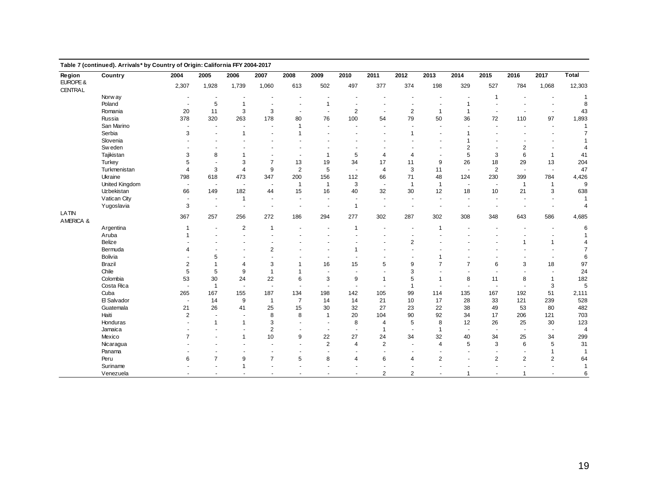| Region                     | Table 7 (continued). Arrivals* by Country of Origin: California FFY 2004-2017<br>Country | 2004                     | 2005                     | 2006                     | 2007                     | 2008                     | 2009                 | 2010                     | 2011                     | 2012                     | 2013                     | 2014                     | 2015                     | 2016                     | 2017                     | <b>Total</b>   |
|----------------------------|------------------------------------------------------------------------------------------|--------------------------|--------------------------|--------------------------|--------------------------|--------------------------|----------------------|--------------------------|--------------------------|--------------------------|--------------------------|--------------------------|--------------------------|--------------------------|--------------------------|----------------|
| EUROPE &<br><b>CENTRAL</b> |                                                                                          | 2,307                    | 1,928                    | 1,739                    | 1,060                    | 613                      | 502                  | 497                      | 377                      | 374                      | 198                      | 329                      | 527                      | 784                      | 1,068                    | 12,303         |
|                            | Norw ay                                                                                  | $\blacksquare$           |                          |                          |                          |                          |                      |                          |                          |                          |                          |                          | -1                       |                          |                          | $\overline{1}$ |
|                            | Poland                                                                                   | $\sim$                   | 5                        | $\mathbf{1}$             | $\sim$                   | $\sim$                   | $\mathbf{1}$         | $\blacksquare$           |                          |                          | $\overline{\phantom{a}}$ | 1                        |                          |                          |                          | 8              |
|                            | Romania                                                                                  | 20                       | 11                       | 3                        | 3                        | $\overline{a}$           | $\sim$               | $\overline{2}$           | $\blacksquare$           | $\overline{2}$           | $\overline{1}$           | $\mathbf{1}$             | $\overline{\phantom{a}}$ |                          |                          | 43             |
|                            | Russia                                                                                   | 378                      | 320                      | 263                      | 178                      | 80                       | 76                   | 100                      | 54                       | 79                       | 50                       | 36                       | 72                       | 110                      | 97                       | 1,893          |
|                            | San Marino                                                                               |                          | $\blacksquare$           |                          |                          | $\overline{1}$           | ÷,                   | $\blacksquare$           | $\blacksquare$           |                          | $\sim$                   |                          | $\sim$                   | $\overline{\phantom{a}}$ | $\sim$                   | 1              |
|                            | Serbia                                                                                   | 3                        | $\ddot{\phantom{1}}$     | $\mathbf{1}$             |                          | 1                        |                      |                          |                          | $\mathbf{1}$             |                          | 1                        |                          | $\overline{\phantom{a}}$ |                          | $\overline{7}$ |
|                            | Slovenia                                                                                 |                          | $\ddot{\phantom{1}}$     |                          |                          |                          |                      |                          |                          |                          |                          | $\overline{1}$           |                          |                          |                          | $\overline{1}$ |
|                            | Sw eden                                                                                  |                          | $\overline{\phantom{a}}$ |                          |                          |                          |                      |                          |                          |                          |                          | $\overline{2}$           | ÷                        | $\overline{2}$           |                          | $\overline{4}$ |
|                            | Tajikistan                                                                               | 3                        | 8                        | 1                        |                          | $\overline{\phantom{a}}$ | 1                    | 5                        | $\overline{4}$           | $\overline{4}$           | $\overline{\phantom{a}}$ | 5                        | 3                        | 6                        | $\mathbf{1}$             | 41             |
|                            | Turkey                                                                                   | 5                        | $\blacksquare$           | 3                        | $\overline{7}$           | 13                       | 19                   | 34                       | 17                       | 11                       | 9                        | 26                       | 18                       | 29                       | 13                       | 204            |
|                            | Turkmenistan                                                                             | $\overline{4}$           | 3                        | $\overline{4}$           | 9                        | $\overline{2}$           | 5                    | ٠.                       | $\overline{4}$           | 3                        | 11                       | $\blacksquare$           | $\overline{2}$           | $\overline{\phantom{a}}$ | $\sim$                   | 47             |
|                            | Ukraine                                                                                  | 798                      | 618                      | 473                      | 347                      | 200                      | 156                  | 112                      | 66                       | 71                       | 48                       | 124                      | 230                      | 399                      | 784                      | 4,426          |
|                            | United Kingdom                                                                           | $\overline{\phantom{a}}$ | $\overline{\phantom{a}}$ | $\overline{\phantom{a}}$ | $\sim$                   | $\mathbf{1}$             | $\overline{1}$       | 3                        | $\blacksquare$           | $\mathbf{1}$             | $\mathbf{1}$             | $\blacksquare$           | $\overline{\phantom{a}}$ | $\mathbf{1}$             | $\mathbf{1}$             | 9              |
|                            | Uzbekistan                                                                               | 66                       | 149                      | 182                      | 44                       | 15                       | 16                   | 40                       | 32                       | 30                       | 12                       | 18                       | 10                       | 21                       | 3                        | 638            |
|                            | Vatican City                                                                             | $\sim$                   | $\blacksquare$           | 1                        | $\overline{\phantom{a}}$ | $\ddot{\phantom{1}}$     | $\ddot{\phantom{1}}$ | $\overline{\phantom{a}}$ | $\ddot{\phantom{1}}$     | $\overline{\phantom{a}}$ | $\sim$                   | $\ddot{\phantom{1}}$     | $\overline{a}$           | $\overline{\phantom{a}}$ | $\sim$                   | $\overline{1}$ |
|                            | Yugoslavia                                                                               | 3                        | $\overline{\phantom{a}}$ |                          | $\blacksquare$           | $\overline{\phantom{a}}$ | $\blacksquare$       | $\overline{1}$           | $\blacksquare$           |                          | $\sim$                   | $\overline{\phantom{a}}$ | $\overline{\phantom{a}}$ | $\overline{\phantom{a}}$ |                          | 4              |
| LATIN<br>AMERICA &         |                                                                                          | 367                      | 257                      | 256                      | 272                      | 186                      | 294                  | 277                      | 302                      | 287                      | 302                      | 308                      | 348                      | 643                      | 586                      | 4,685          |
|                            | Argentina                                                                                | $\mathbf{1}$             | $\blacksquare$           | $\overline{2}$           | $\overline{1}$           |                          |                      | $\mathbf 1$              |                          |                          | $\overline{1}$           |                          | $\overline{\phantom{a}}$ | $\overline{\phantom{a}}$ |                          | 6              |
|                            | Aruba                                                                                    | $\overline{1}$           |                          |                          |                          |                          |                      |                          |                          |                          |                          |                          |                          |                          |                          | $\overline{1}$ |
|                            | Belize                                                                                   |                          |                          |                          |                          |                          |                      |                          |                          | $\overline{2}$           |                          |                          |                          | $\mathbf{1}$             | $\mathbf{1}$             | 4              |
|                            | Bermuda                                                                                  | $\overline{4}$           | $\overline{\phantom{a}}$ |                          | 2                        |                          |                      | $\mathbf{1}$             | ۰                        |                          |                          |                          | ÷                        | $\ddot{\phantom{1}}$     |                          | $\overline{7}$ |
|                            | <b>Bolivia</b>                                                                           |                          | 5                        |                          |                          |                          |                      |                          |                          |                          | 1                        |                          |                          |                          |                          | 6              |
|                            | Brazil                                                                                   | $\overline{2}$           | $\mathbf{1}$             | $\overline{4}$           | 3                        | 1                        | 16                   | 15                       | 5                        | 9                        | $\overline{7}$           | $\overline{7}$           | 6                        | 3                        | 18                       | 97             |
|                            | Chile                                                                                    | 5                        | 5                        | 9                        | $\mathbf{1}$             | $\overline{1}$           |                      | $\blacksquare$           |                          | 3                        |                          |                          |                          | $\overline{\phantom{a}}$ |                          | 24             |
|                            | Colombia                                                                                 | 53                       | 30                       | 24                       | 22                       | 6                        | 3                    | 9                        | $\mathbf{1}$             | 5                        | $\overline{1}$           | 8                        | 11                       | 8                        | $\mathbf{1}$             | 182            |
|                            | Costa Rica                                                                               | $\sim$                   | $\mathbf{1}$             | $\sim$                   | $\sim$                   | $\blacksquare$           | ä,                   |                          |                          | $\mathbf{1}$             | $\overline{\phantom{a}}$ | $\blacksquare$           | $\sim$                   | $\overline{\phantom{a}}$ | 3                        | 5              |
|                            | Cuba                                                                                     | 265                      | 167                      | 155                      | 187                      | 134                      | 198                  | 142                      | 105                      | 99                       | 114                      | 135                      | 167                      | 192                      | 51                       | 2,111          |
|                            | El Salvador                                                                              |                          | 14                       | 9                        | $\overline{1}$           | $\overline{7}$           | 14                   | 14                       | 21                       | 10                       | 17                       | 28                       | 33                       | 121                      | 239                      | 528            |
|                            | Guatemala                                                                                | 21                       | 26                       | 41                       | 25                       | 15                       | 30                   | 32                       | 27                       | 23                       | 22                       | 38                       | 49                       | 53                       | 80                       | 482            |
|                            | Haiti                                                                                    | $\overline{2}$           | $\overline{\phantom{a}}$ |                          | 8                        | 8                        | $\overline{1}$       | 20                       | 104                      | 90                       | 92                       | 34                       | 17                       | 206                      | 121                      | 703            |
|                            | Honduras                                                                                 |                          | $\mathbf{1}$             | $\mathbf{1}$             | 3                        | $\blacksquare$           | $\blacksquare$       | 8                        | 4                        | 5                        | 8                        | 12                       | 26                       | 25                       | 30                       | 123            |
|                            | Jamaica                                                                                  |                          | $\overline{a}$           | $\sim$                   | $\overline{2}$           | $\blacksquare$           | $\sim$               | $\blacksquare$           | $\overline{1}$           | $\overline{\phantom{a}}$ | $\overline{1}$           | $\overline{\phantom{a}}$ | $\overline{a}$           | $\overline{\phantom{a}}$ | $\overline{\phantom{a}}$ | $\overline{4}$ |
|                            | Mexico                                                                                   | $\overline{7}$           | $\overline{\phantom{a}}$ | $\mathbf{1}$             | 10                       | 9                        | 22                   | 27                       | 24                       | 34                       | 32                       | 40                       | 34                       | 25                       | 34                       | 299            |
|                            | Nicaragua                                                                                |                          |                          |                          |                          | $\ddot{\phantom{1}}$     | $\overline{2}$       | $\overline{4}$           | $\overline{2}$           |                          | $\overline{4}$           | 5                        | 3                        | 6                        | 5                        | 31             |
|                            | Panama                                                                                   |                          | $\blacksquare$           | $\overline{\phantom{a}}$ | $\overline{\phantom{a}}$ | $\blacksquare$           | $\sim$               | $\ddot{\phantom{1}}$     | $\overline{\phantom{a}}$ | $\overline{\phantom{a}}$ | $\overline{a}$           | $\ddot{\phantom{1}}$     | $\overline{a}$           | $\overline{\phantom{a}}$ | $\mathbf{1}$             | $\overline{1}$ |
|                            | Peru                                                                                     | 6                        | $\overline{7}$           | 9                        | $\overline{7}$           | 5                        | 8                    | 4                        | 6                        | 4                        | $\overline{2}$           | $\blacksquare$           | $\overline{2}$           | $\overline{2}$           | $\overline{2}$           | 64             |
|                            | Suriname                                                                                 |                          |                          | $\mathbf{1}$             |                          |                          |                      |                          |                          |                          |                          |                          |                          |                          |                          | $\overline{1}$ |
|                            | Venezuela                                                                                | $\overline{a}$           | $\sim$                   |                          | $\overline{\phantom{a}}$ | $\sim$                   | $\ddot{\phantom{1}}$ | $\ddot{\phantom{1}}$     | $\overline{2}$           | 2                        | $\sim$                   | $\mathbf{1}$             | $\blacksquare$           | $\mathbf{1}$             | $\sim$                   | 6              |